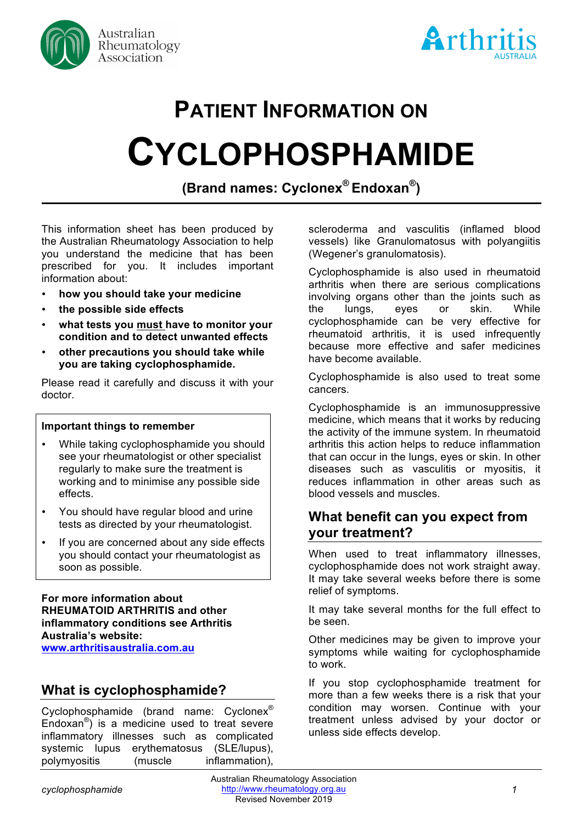



# **PATIENT INFORMATION ON CYCLOPHOSPHAMIDE**

**(Brand names: Cyclonex® Endoxan®)**

This information sheet has been produced by the Australian Rheumatology Association to help you understand the medicine that has been prescribed for you. It includes important information about:

- **how you should take your medicine**
- **the possible side effects**
- **what tests you must have to monitor your condition and to detect unwanted effects**
- **other precautions you should take while you are taking cyclophosphamide.**

Please read it carefully and discuss it with your doctor.

#### **Important things to remember**

- While taking cyclophosphamide you should see your rheumatologist or other specialist regularly to make sure the treatment is working and to minimise any possible side effects.
- You should have regular blood and urine tests as directed by your rheumatologist.
- If you are concerned about any side effects you should contact your rheumatologist as soon as possible.

**For more information about RHEUMATOID ARTHRITIS and other inflammatory conditions see Arthritis Australia's website: www.arthritisaustralia.com.au**

## **What is cyclophosphamide?**

Cyclophosphamide (brand name: Cyclonex® Endoxan®) is a medicine used to treat severe inflammatory illnesses such as complicated systemic lupus erythematosus (SLE/lupus), polymyositis (muscle inflammation), scleroderma and vasculitis (inflamed blood vessels) like Granulomatosus with polyangiitis (Wegener's granulomatosis).

Cyclophosphamide is also used in rheumatoid arthritis when there are serious complications involving organs other than the joints such as the lungs, eyes or skin. While cyclophosphamide can be very effective for rheumatoid arthritis, it is used infrequently because more effective and safer medicines have become available.

Cyclophosphamide is also used to treat some cancers.

Cyclophosphamide is an immunosuppressive medicine, which means that it works by reducing the activity of the immune system. In rheumatoid arthritis this action helps to reduce inflammation that can occur in the lungs, eyes or skin. In other diseases such as vasculitis or myositis, it reduces inflammation in other areas such as blood vessels and muscles.

### **What benefit can you expect from your treatment?**

When used to treat inflammatory illnesses, cyclophosphamide does not work straight away. It may take several weeks before there is some relief of symptoms.

It may take several months for the full effect to be seen.

Other medicines may be given to improve your symptoms while waiting for cyclophosphamide to work.

If you stop cyclophosphamide treatment for more than a few weeks there is a risk that your condition may worsen. Continue with your treatment unless advised by your doctor or unless side effects develop.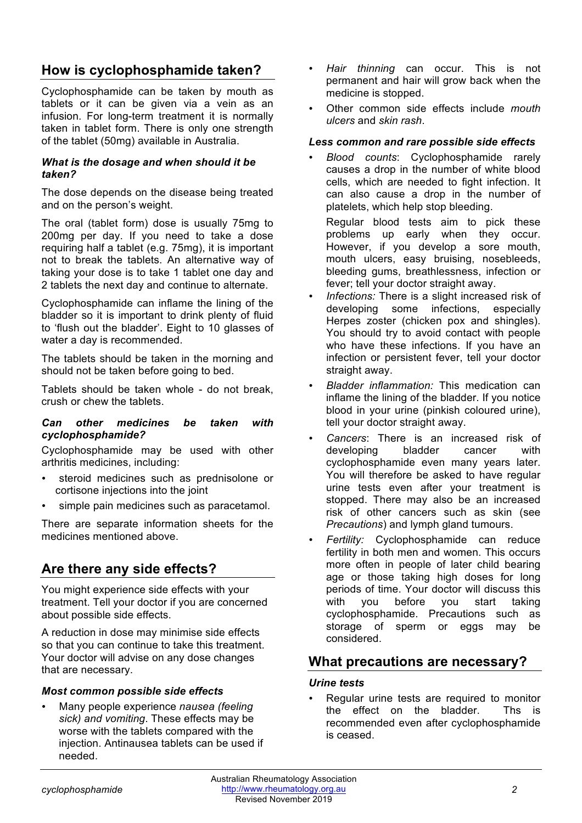## **How is cyclophosphamide taken?**

Cyclophosphamide can be taken by mouth as tablets or it can be given via a vein as an infusion. For long-term treatment it is normally taken in tablet form. There is only one strength of the tablet (50mg) available in Australia.

#### *What is the dosage and when should it be taken?*

The dose depends on the disease being treated and on the person's weight.

The oral (tablet form) dose is usually 75mg to 200mg per day. If you need to take a dose requiring half a tablet (e.g. 75mg), it is important not to break the tablets. An alternative way of taking your dose is to take 1 tablet one day and 2 tablets the next day and continue to alternate.

Cyclophosphamide can inflame the lining of the bladder so it is important to drink plenty of fluid to 'flush out the bladder'. Eight to 10 glasses of water a day is recommended.

The tablets should be taken in the morning and should not be taken before going to bed.

Tablets should be taken whole - do not break, crush or chew the tablets.

#### *Can other medicines be taken with cyclophosphamide?*

Cyclophosphamide may be used with other arthritis medicines, including:

- steroid medicines such as prednisolone or cortisone injections into the joint
- simple pain medicines such as paracetamol.

There are separate information sheets for the medicines mentioned above.

## **Are there any side effects?**

You might experience side effects with your treatment. Tell your doctor if you are concerned about possible side effects.

A reduction in dose may minimise side effects so that you can continue to take this treatment. Your doctor will advise on any dose changes that are necessary.

#### *Most common possible side effects*

• Many people experience *nausea (feeling sick) and vomiting*. These effects may be worse with the tablets compared with the injection. Antinausea tablets can be used if needed.

- *Hair thinning* can occur. This is not permanent and hair will grow back when the medicine is stopped.
- Other common side effects include *mouth ulcers* and *skin rash*.

#### *Less common and rare possible side effects*

• *Blood counts*: Cyclophosphamide rarely causes a drop in the number of white blood cells, which are needed to fight infection. It can also cause a drop in the number of platelets, which help stop bleeding.

Regular blood tests aim to pick these problems up early when they occur. However, if you develop a sore mouth, mouth ulcers, easy bruising, nosebleeds, bleeding gums, breathlessness, infection or fever; tell your doctor straight away.

- Infections: There is a slight increased risk of developing some infections, especially Herpes zoster (chicken pox and shingles). You should try to avoid contact with people who have these infections. If you have an infection or persistent fever, tell your doctor straight away.
- *Bladder inflammation:* This medication can inflame the lining of the bladder. If you notice blood in your urine (pinkish coloured urine), tell your doctor straight away.
- *Cancers*: There is an increased risk of developing bladder cancer with cyclophosphamide even many years later. You will therefore be asked to have regular urine tests even after your treatment is stopped. There may also be an increased risk of other cancers such as skin (see *Precautions*) and lymph gland tumours.
- *Fertility:* Cyclophosphamide can reduce fertility in both men and women. This occurs more often in people of later child bearing age or those taking high doses for long periods of time. Your doctor will discuss this with you before you start taking cyclophosphamide. Precautions such as storage of sperm or eggs may be considered.

## **What precautions are necessary?**

#### *Urine tests*

• Regular urine tests are required to monitor the effect on the bladder. Ths is recommended even after cyclophosphamide is ceased.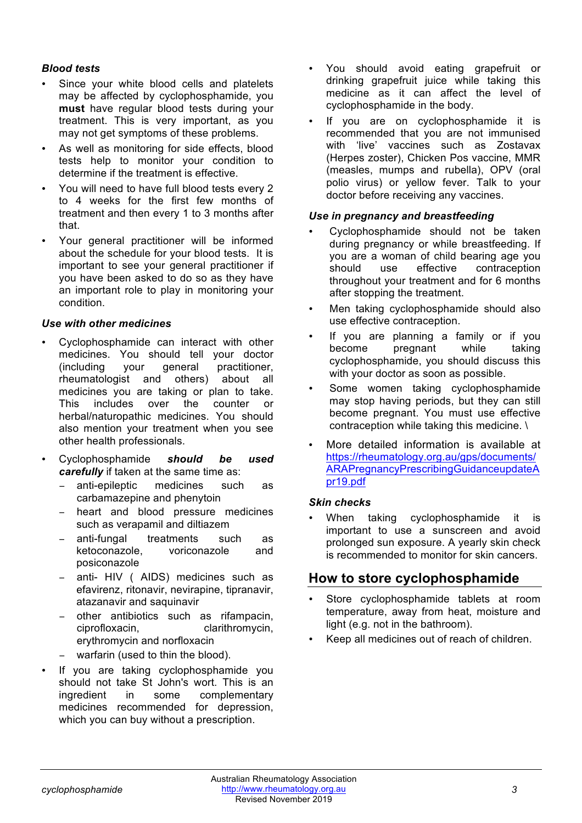#### *Blood tests*

- Since your white blood cells and platelets may be affected by cyclophosphamide, you **must** have regular blood tests during your treatment. This is very important, as you may not get symptoms of these problems.
- As well as monitoring for side effects, blood tests help to monitor your condition to determine if the treatment is effective.
- You will need to have full blood tests every 2 to 4 weeks for the first few months of treatment and then every 1 to 3 months after that.
- Your general practitioner will be informed about the schedule for your blood tests. It is important to see your general practitioner if you have been asked to do so as they have an important role to play in monitoring your condition.

#### *Use with other medicines*

- Cyclophosphamide can interact with other medicines. You should tell your doctor (including your general practitioner, rheumatologist and others) about all medicines you are taking or plan to take. This includes over the counter or herbal/naturopathic medicines. You should also mention your treatment when you see other health professionals.
- Cyclophosphamide *should be used carefully* if taken at the same time as:
	- − anti-epileptic medicines such as carbamazepine and phenytoin
	- heart and blood pressure medicines such as verapamil and diltiazem
	- − anti-fungal treatments such as ketoconazole, voriconazole and posiconazole
	- anti- HIV ( AIDS) medicines such as efavirenz, ritonavir, nevirapine, tipranavir, atazanavir and saquinavir
	- − other antibiotics such as rifampacin, ciprofloxacin, clarithromycin, erythromycin and norfloxacin
	- − warfarin (used to thin the blood).
- If you are taking cyclophosphamide you should not take St John's wort. This is an ingredient in some complementary medicines recommended for depression, which you can buy without a prescription.
- You should avoid eating grapefruit or drinking grapefruit juice while taking this medicine as it can affect the level of cyclophosphamide in the body.
- If you are on cyclophosphamide it is recommended that you are not immunised with 'live' vaccines such as Zostavax (Herpes zoster), Chicken Pos vaccine, MMR (measles, mumps and rubella), OPV (oral polio virus) or yellow fever. Talk to your doctor before receiving any vaccines.

#### *Use in pregnancy and breastfeeding*

- Cyclophosphamide should not be taken during pregnancy or while breastfeeding. If you are a woman of child bearing age you should use effective contraception throughout your treatment and for 6 months after stopping the treatment.
- Men taking cyclophosphamide should also use effective contraception.
- If you are planning a family or if you become pregnant while taking cyclophosphamide, you should discuss this with your doctor as soon as possible.
- Some women taking cyclophosphamide may stop having periods, but they can still become pregnant. You must use effective contraception while taking this medicine. \
- More detailed information is available at https://rheumatology.org.au/gps/documents/ ARAPregnancyPrescribingGuidanceupdateA pr19.pdf

#### *Skin checks*

When taking cyclophosphamide it is important to use a sunscreen and avoid prolonged sun exposure. A yearly skin check is recommended to monitor for skin cancers.

## **How to store cyclophosphamide**

- Store cyclophosphamide tablets at room temperature, away from heat, moisture and light (e.g. not in the bathroom).
- Keep all medicines out of reach of children.